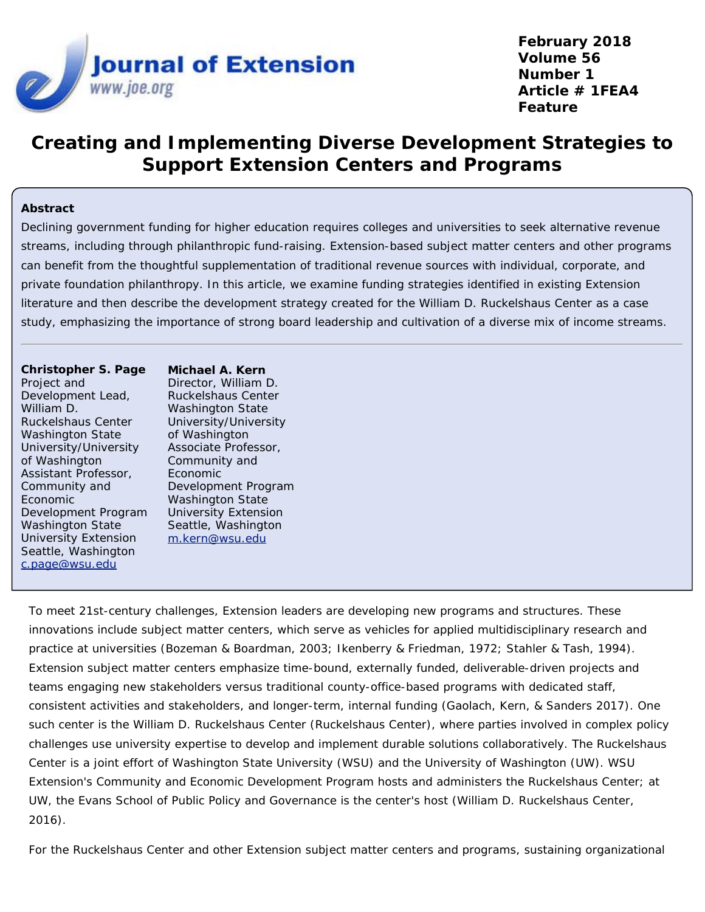

**February 2018 Volume 56 Number 1 Article # 1FEA4 Feature**

# **Creating and Implementing Diverse Development Strategies to Support Extension Centers and Programs**

#### **Abstract**

Declining government funding for higher education requires colleges and universities to seek alternative revenue streams, including through philanthropic fund-raising. Extension-based subject matter centers and other programs can benefit from the thoughtful supplementation of traditional revenue sources with individual, corporate, and private foundation philanthropy. In this article, we examine funding strategies identified in existing Extension literature and then describe the development strategy created for the William D. Ruckelshaus Center as a case study, emphasizing the importance of strong board leadership and cultivation of a diverse mix of income streams.

**Christopher S. Page** Project and Development Lead, William D. Ruckelshaus Center Washington State University/University of Washington Assistant Professor, Community and Economic Development Program Washington State University Extension Seattle, Washington [c.page@wsu.edu](mailto:c.page@wsu.edu)

**Michael A. Kern** Director, William D. Ruckelshaus Center Washington State University/University of Washington Associate Professor, Community and Economic Development Program Washington State University Extension Seattle, Washington [m.kern@wsu.edu](mailto:m.kern@wsu.edu)

To meet 21st-century challenges, Extension leaders are developing new programs and structures. These innovations include subject matter centers, which serve as vehicles for applied multidisciplinary research and practice at universities (Bozeman & Boardman, 2003; Ikenberry & Friedman, 1972; Stahler & Tash, 1994). Extension subject matter centers emphasize time-bound, externally funded, deliverable-driven projects and teams engaging new stakeholders versus traditional county-office-based programs with dedicated staff, consistent activities and stakeholders, and longer-term, internal funding (Gaolach, Kern, & Sanders 2017). One such center is the William D. Ruckelshaus Center (Ruckelshaus Center), where parties involved in complex policy challenges use university expertise to develop and implement durable solutions collaboratively. The Ruckelshaus Center is a joint effort of Washington State University (WSU) and the University of Washington (UW). WSU Extension's Community and Economic Development Program hosts and administers the Ruckelshaus Center; at UW, the Evans School of Public Policy and Governance is the center's host (William D. Ruckelshaus Center, 2016).

For the Ruckelshaus Center and other Extension subject matter centers and programs, sustaining organizational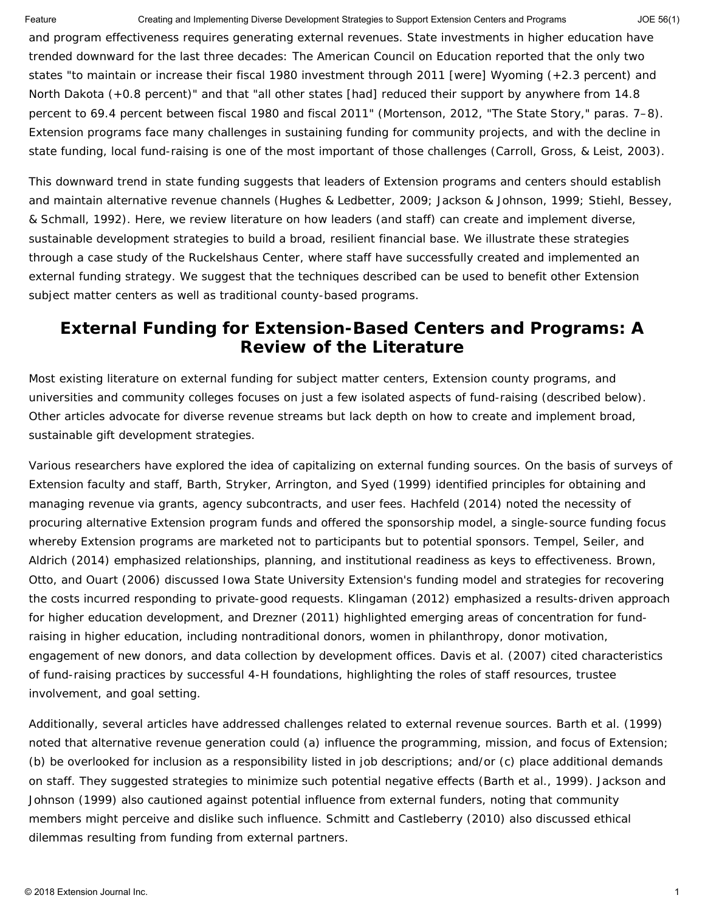Feature **Creating and Implementing Diverse Development Strategies to Support Extension Centers and Programs** JOE 56(1)

and program effectiveness requires generating external revenues. State investments in higher education have trended downward for the last three decades: The American Council on Education reported that the only two states "to maintain or increase their fiscal 1980 investment through 2011 [were] Wyoming (+2.3 percent) and North Dakota (+0.8 percent)" and that "all other states [had] reduced their support by anywhere from 14.8 percent to 69.4 percent between fiscal 1980 and fiscal 2011" (Mortenson, 2012, "The State Story," paras. 7–8). Extension programs face many challenges in sustaining funding for community projects, and with the decline in state funding, local fund-raising is one of the most important of those challenges (Carroll, Gross, & Leist, 2003).

This downward trend in state funding suggests that leaders of Extension programs and centers should establish and maintain alternative revenue channels (Hughes & Ledbetter, 2009; Jackson & Johnson, 1999; Stiehl, Bessey, & Schmall, 1992). Here, we review literature on how leaders (and staff) can create and implement diverse, sustainable development strategies to build a broad, resilient financial base. We illustrate these strategies through a case study of the Ruckelshaus Center, where staff have successfully created and implemented an external funding strategy. We suggest that the techniques described can be used to benefit other Extension subject matter centers as well as traditional county-based programs.

#### **External Funding for Extension-Based Centers and Programs: A Review of the Literature**

Most existing literature on external funding for subject matter centers, Extension county programs, and universities and community colleges focuses on just a few isolated aspects of fund-raising (described below). Other articles advocate for diverse revenue streams but lack depth on how to create and implement broad, sustainable gift development strategies.

Various researchers have explored the idea of capitalizing on external funding sources. On the basis of surveys of Extension faculty and staff, Barth, Stryker, Arrington, and Syed (1999) identified principles for obtaining and managing revenue via grants, agency subcontracts, and user fees. Hachfeld (2014) noted the necessity of procuring alternative Extension program funds and offered the sponsorship model*,* a single-source funding focus whereby Extension programs are marketed not to participants but to potential sponsors. Tempel, Seiler, and Aldrich (2014) emphasized relationships, planning, and institutional readiness as keys to effectiveness. Brown, Otto, and Ouart (2006) discussed Iowa State University Extension's funding model and strategies for recovering the costs incurred responding to private-good requests. Klingaman (2012) emphasized a results-driven approach for higher education development, and Drezner (2011) highlighted emerging areas of concentration for fundraising in higher education, including nontraditional donors, women in philanthropy, donor motivation, engagement of new donors, and data collection by development offices. Davis et al. (2007) cited characteristics of fund-raising practices by successful 4-H foundations, highlighting the roles of staff resources, trustee involvement, and goal setting.

Additionally, several articles have addressed challenges related to external revenue sources. Barth et al. (1999) noted that alternative revenue generation could (a) influence the programming, mission, and focus of Extension; (b) be overlooked for inclusion as a responsibility listed in job descriptions; and/or (c) place additional demands on staff. They suggested strategies to minimize such potential negative effects (Barth et al., 1999). Jackson and Johnson (1999) also cautioned against potential influence from external funders, noting that community members might perceive and dislike such influence. Schmitt and Castleberry (2010) also discussed ethical dilemmas resulting from funding from external partners.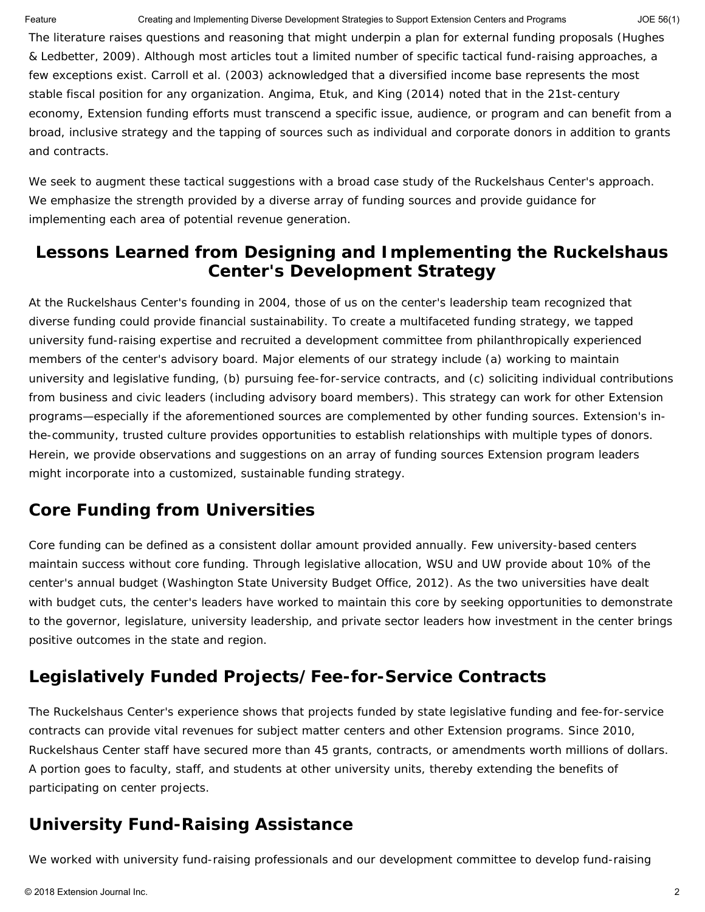The literature raises questions and reasoning that might underpin a plan for external funding proposals (Hughes & Ledbetter, 2009). Although most articles tout a limited number of specific tactical fund-raising approaches, a few exceptions exist. Carroll et al. (2003) acknowledged that a diversified income base represents the most stable fiscal position for any organization. Angima, Etuk, and King (2014) noted that in the 21st-century economy, Extension funding efforts must transcend a specific issue, audience, or program and can benefit from a broad, inclusive strategy and the tapping of sources such as individual and corporate donors in addition to grants and contracts.

We seek to augment these tactical suggestions with a broad case study of the Ruckelshaus Center's approach. We emphasize the strength provided by a diverse array of funding sources and provide guidance for implementing each area of potential revenue generation.

#### **Lessons Learned from Designing and Implementing the Ruckelshaus Center's Development Strategy**

At the Ruckelshaus Center's founding in 2004, those of us on the center's leadership team recognized that diverse funding could provide financial sustainability. To create a multifaceted funding strategy, we tapped university fund-raising expertise and recruited a development committee from philanthropically experienced members of the center's advisory board. Major elements of our strategy include (a) working to maintain university and legislative funding, (b) pursuing fee-for-service contracts, and (c) soliciting individual contributions from business and civic leaders (including advisory board members). This strategy can work for other Extension programs—especially if the aforementioned sources are complemented by other funding sources. Extension's inthe-community, trusted culture provides opportunities to establish relationships with multiple types of donors. Herein, we provide observations and suggestions on an array of funding sources Extension program leaders might incorporate into a customized, sustainable funding strategy.

#### **Core Funding from Universities**

Core funding can be defined as a consistent dollar amount provided annually. Few university-based centers maintain success without core funding. Through legislative allocation, WSU and UW provide about 10% of the center's annual budget (Washington State University Budget Office, 2012). As the two universities have dealt with budget cuts, the center's leaders have worked to maintain this core by seeking opportunities to demonstrate to the governor, legislature, university leadership, and private sector leaders how investment in the center brings positive outcomes in the state and region.

# **Legislatively Funded Projects/Fee-for-Service Contracts**

The Ruckelshaus Center's experience shows that projects funded by state legislative funding and fee-for-service contracts can provide vital revenues for subject matter centers and other Extension programs. Since 2010, Ruckelshaus Center staff have secured more than 45 grants, contracts, or amendments worth millions of dollars. A portion goes to faculty, staff, and students at other university units, thereby extending the benefits of participating on center projects.

#### **University Fund-Raising Assistance**

We worked with university fund-raising professionals and our development committee to develop fund-raising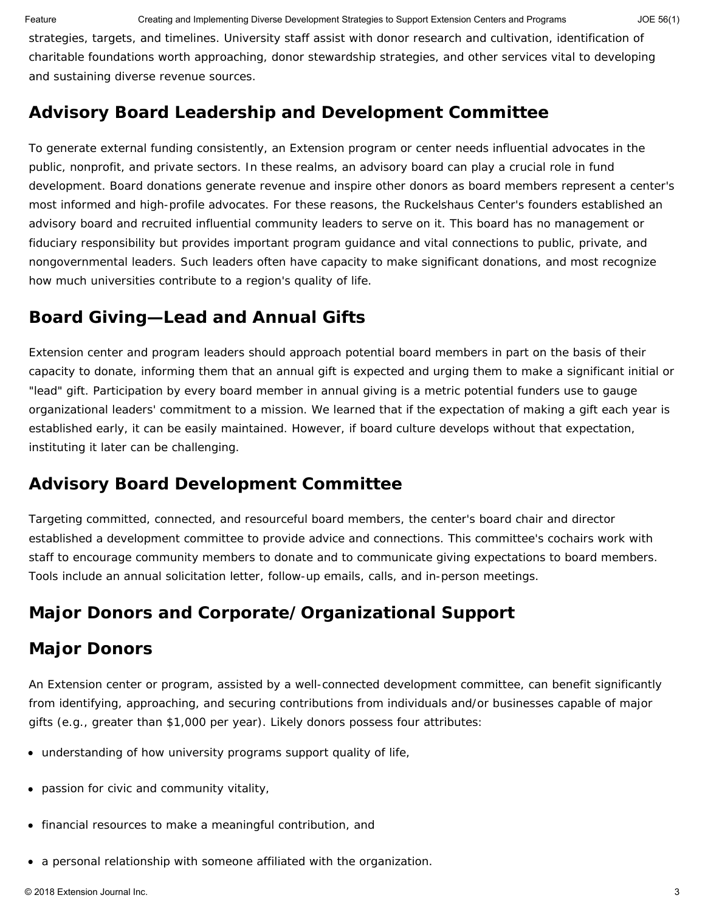Feature **Creating and Implementing Diverse Development Strategies to Support Extension Centers and Programs** JOE 56(1)

strategies, targets, and timelines. University staff assist with donor research and cultivation, identification of charitable foundations worth approaching, donor stewardship strategies, and other services vital to developing and sustaining diverse revenue sources.

#### **Advisory Board Leadership and Development Committee**

To generate external funding consistently, an Extension program or center needs influential advocates in the public, nonprofit, and private sectors. In these realms, an advisory board can play a crucial role in fund development. Board donations generate revenue and inspire other donors as board members represent a center's most informed and high-profile advocates. For these reasons, the Ruckelshaus Center's founders established an advisory board and recruited influential community leaders to serve on it. This board has no management or fiduciary responsibility but provides important program guidance and vital connections to public, private, and nongovernmental leaders. Such leaders often have capacity to make significant donations, and most recognize how much universities contribute to a region's quality of life.

# *Board Giving—Lead and Annual Gifts*

Extension center and program leaders should approach potential board members in part on the basis of their capacity to donate, informing them that an annual gift is expected and urging them to make a significant initial or "lead" gift. Participation by every board member in annual giving is a metric potential funders use to gauge organizational leaders' commitment to a mission. We learned that if the expectation of making a gift each year is established early, it can be easily maintained. However, if board culture develops without that expectation, instituting it later can be challenging.

# *Advisory Board Development Committee*

Targeting committed, connected, and resourceful board members, the center's board chair and director established a development committee to provide advice and connections. This committee's cochairs work with staff to encourage community members to donate and to communicate giving expectations to board members. Tools include an annual solicitation letter, follow-up emails, calls, and in-person meetings.

# **Major Donors and Corporate/Organizational Support**

# *Major Donors*

An Extension center or program, assisted by a well-connected development committee, can benefit significantly from identifying, approaching, and securing contributions from individuals and/or businesses capable of major gifts (e.g., greater than \$1,000 per year). Likely donors possess four attributes:

- understanding of how university programs support quality of life,
- passion for civic and community vitality,
- financial resources to make a meaningful contribution, and
- a personal relationship with someone affiliated with the organization.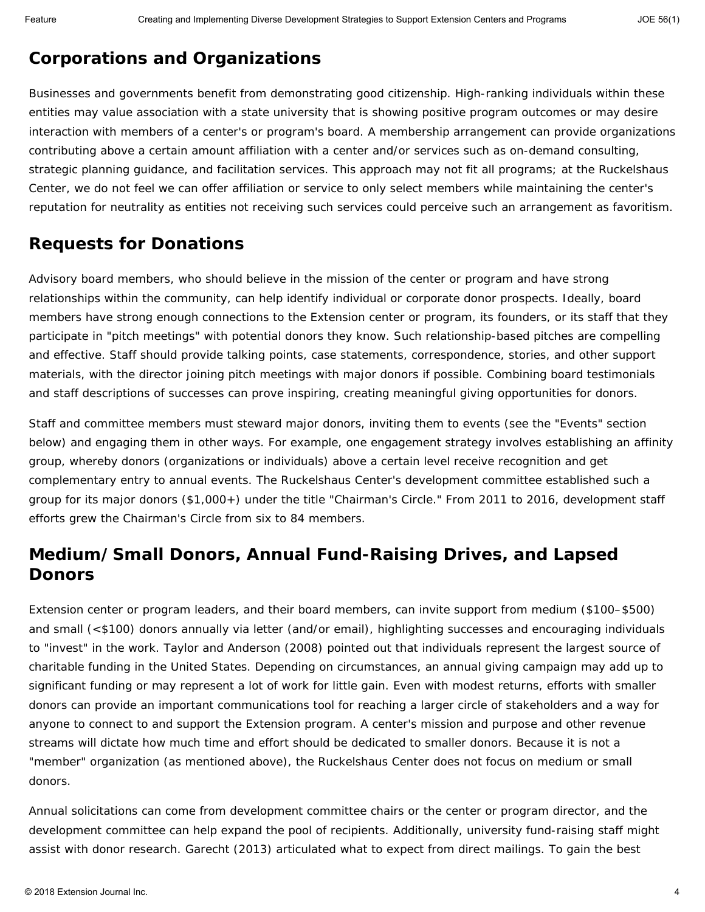#### *Corporations and Organizations*

Businesses and governments benefit from demonstrating good citizenship. High-ranking individuals within these entities may value association with a state university that is showing positive program outcomes or may desire interaction with members of a center's or program's board. A membership arrangement can provide organizations contributing above a certain amount affiliation with a center and/or services such as on-demand consulting, strategic planning guidance, and facilitation services. This approach may not fit all programs; at the Ruckelshaus Center, we do not feel we can offer affiliation or service to only select members while maintaining the center's reputation for neutrality as entities not receiving such services could perceive such an arrangement as favoritism.

#### *Requests for Donations*

Advisory board members, who should believe in the mission of the center or program and have strong relationships within the community, can help identify individual or corporate donor prospects. Ideally, board members have strong enough connections to the Extension center or program, its founders, or its staff that they participate in "pitch meetings" with potential donors they know. Such relationship-based pitches are compelling and effective. Staff should provide talking points, case statements, correspondence, stories, and other support materials, with the director joining pitch meetings with major donors if possible. Combining board testimonials and staff descriptions of successes can prove inspiring, creating meaningful giving opportunities for donors.

Staff and committee members must steward major donors, inviting them to events (see the "Events" section below) and engaging them in other ways. For example, one engagement strategy involves establishing an affinity group, whereby donors (organizations or individuals) above a certain level receive recognition and get complementary entry to annual events. The Ruckelshaus Center's development committee established such a group for its major donors (\$1,000+) under the title "Chairman's Circle." From 2011 to 2016, development staff efforts grew the Chairman's Circle from six to 84 members.

#### **Medium/Small Donors, Annual Fund-Raising Drives, and Lapsed Donors**

Extension center or program leaders, and their board members, can invite support from medium (\$100–\$500) and small (<\$100) donors annually via letter (and/or email), highlighting successes and encouraging individuals to "invest" in the work. Taylor and Anderson (2008) pointed out that individuals represent the largest source of charitable funding in the United States. Depending on circumstances, an annual giving campaign may add up to significant funding or may represent a lot of work for little gain. Even with modest returns, efforts with smaller donors can provide an important communications tool for reaching a larger circle of stakeholders and a way for anyone to connect to and support the Extension program. A center's mission and purpose and other revenue streams will dictate how much time and effort should be dedicated to smaller donors. Because it is not a "member" organization (as mentioned above), the Ruckelshaus Center does not focus on medium or small donors.

Annual solicitations can come from development committee chairs or the center or program director, and the development committee can help expand the pool of recipients. Additionally, university fund-raising staff might assist with donor research. Garecht (2013) articulated what to expect from direct mailings. To gain the best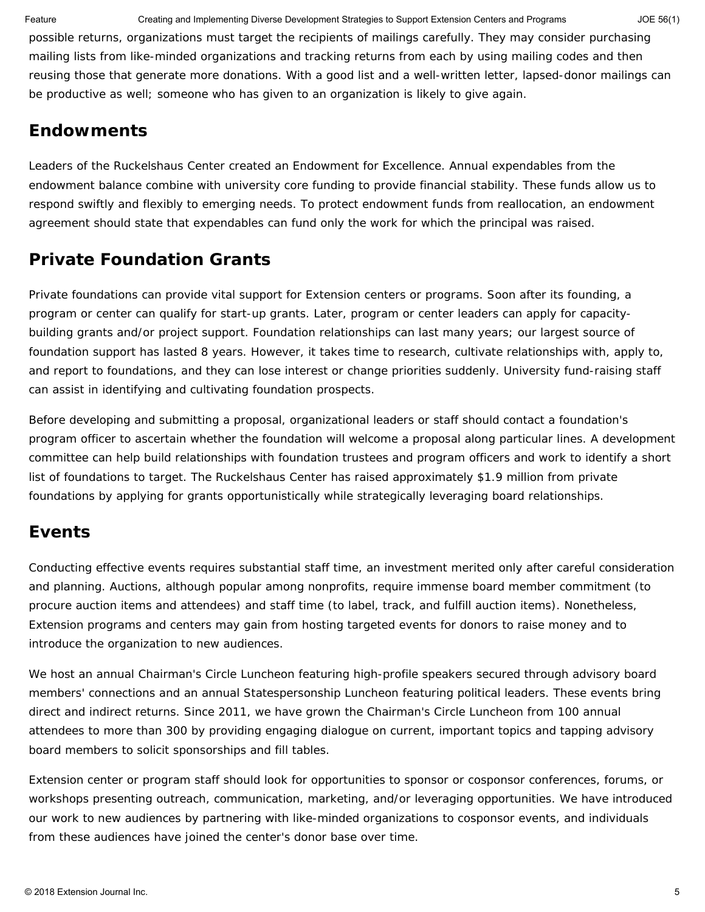Feature **Creating and Implementing Diverse Development Strategies to Support Extension Centers and Programs** JOE 56(1)

possible returns, organizations must target the recipients of mailings carefully. They may consider purchasing mailing lists from like-minded organizations and tracking returns from each by using mailing codes and then reusing those that generate more donations. With a good list and a well-written letter, lapsed-donor mailings can be productive as well; someone who has given to an organization is likely to give again.

#### **Endowments**

Leaders of the Ruckelshaus Center created an Endowment for Excellence. Annual expendables from the endowment balance combine with university core funding to provide financial stability. These funds allow us to respond swiftly and flexibly to emerging needs. To protect endowment funds from reallocation, an endowment agreement should state that expendables can fund only the work for which the principal was raised.

# **Private Foundation Grants**

Private foundations can provide vital support for Extension centers or programs. Soon after its founding, a program or center can qualify for start-up grants. Later, program or center leaders can apply for capacitybuilding grants and/or project support. Foundation relationships can last many years; our largest source of foundation support has lasted 8 years. However, it takes time to research, cultivate relationships with, apply to, and report to foundations, and they can lose interest or change priorities suddenly. University fund-raising staff can assist in identifying and cultivating foundation prospects.

Before developing and submitting a proposal, organizational leaders or staff should contact a foundation's program officer to ascertain whether the foundation will welcome a proposal along particular lines. A development committee can help build relationships with foundation trustees and program officers and work to identify a short list of foundations to target. The Ruckelshaus Center has raised approximately \$1.9 million from private foundations by applying for grants opportunistically while strategically leveraging board relationships.

# **Events**

Conducting effective events requires substantial staff time, an investment merited only after careful consideration and planning. Auctions, although popular among nonprofits, require immense board member commitment (to procure auction items and attendees) and staff time (to label, track, and fulfill auction items). Nonetheless, Extension programs and centers may gain from hosting targeted events for donors to raise money and to introduce the organization to new audiences.

We host an annual Chairman's Circle Luncheon featuring high-profile speakers secured through advisory board members' connections and an annual Statespersonship Luncheon featuring political leaders. These events bring direct and indirect returns. Since 2011, we have grown the Chairman's Circle Luncheon from 100 annual attendees to more than 300 by providing engaging dialogue on current, important topics and tapping advisory board members to solicit sponsorships and fill tables.

Extension center or program staff should look for opportunities to sponsor or cosponsor conferences, forums, or workshops presenting outreach, communication, marketing, and/or leveraging opportunities. We have introduced our work to new audiences by partnering with like-minded organizations to cosponsor events, and individuals from these audiences have joined the center's donor base over time.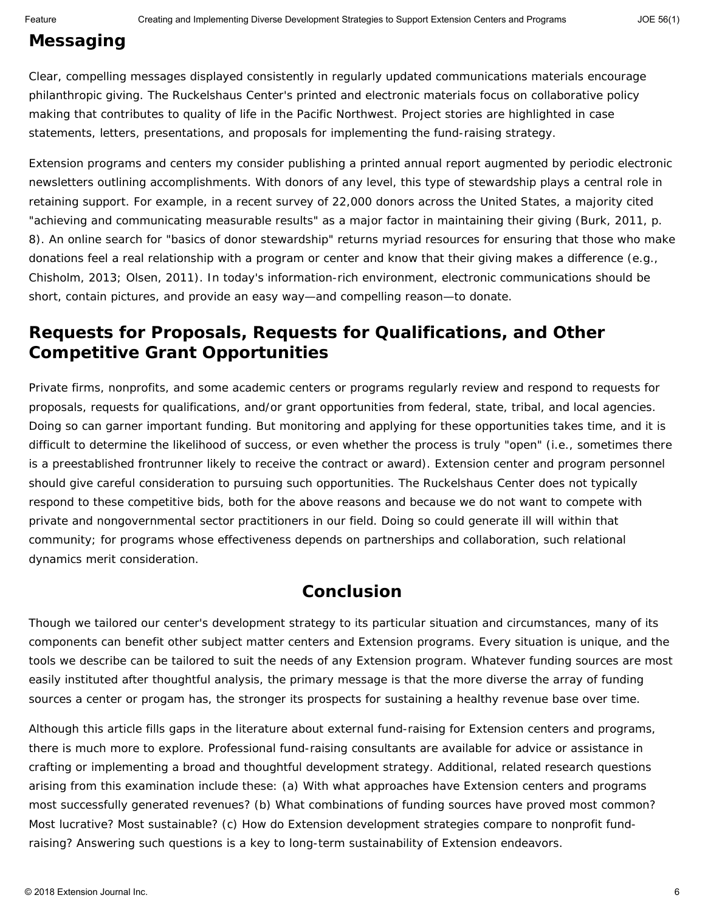# **Messaging**

Clear, compelling messages displayed consistently in regularly updated communications materials encourage philanthropic giving. The Ruckelshaus Center's printed and electronic materials focus on collaborative policy making that contributes to quality of life in the Pacific Northwest. Project stories are highlighted in case statements, letters, presentations, and proposals for implementing the fund-raising strategy.

Extension programs and centers my consider publishing a printed annual report augmented by periodic electronic newsletters outlining accomplishments. With donors of any level, this type of stewardship plays a central role in retaining support. For example, in a recent survey of 22,000 donors across the United States, a majority cited "achieving and communicating measurable results" as a major factor in maintaining their giving (Burk, 2011, p. 8). An online search for "basics of donor stewardship" returns myriad resources for ensuring that those who make donations feel a real relationship with a program or center and know that their giving makes a difference (e.g., Chisholm, 2013; Olsen, 2011). In today's information-rich environment, electronic communications should be short, contain pictures, and provide an easy way—and compelling reason—to donate.

#### **Requests for Proposals, Requests for Qualifications, and Other Competitive Grant Opportunities**

Private firms, nonprofits, and some academic centers or programs regularly review and respond to requests for proposals, requests for qualifications, and/or grant opportunities from federal, state, tribal, and local agencies. Doing so can garner important funding. But monitoring and applying for these opportunities takes time, and it is difficult to determine the likelihood of success, or even whether the process is truly "open" (i.e., sometimes there is a preestablished frontrunner likely to receive the contract or award). Extension center and program personnel should give careful consideration to pursuing such opportunities. The Ruckelshaus Center does not typically respond to these competitive bids, both for the above reasons and because we do not want to compete with private and nongovernmental sector practitioners in our field. Doing so could generate ill will within that community; for programs whose effectiveness depends on partnerships and collaboration, such relational dynamics merit consideration.

#### **Conclusion**

Though we tailored our center's development strategy to its particular situation and circumstances, many of its components can benefit other subject matter centers and Extension programs. Every situation is unique, and the tools we describe can be tailored to suit the needs of any Extension program. Whatever funding sources are most easily instituted after thoughtful analysis, the primary message is that the more diverse the array of funding sources a center or progam has, the stronger its prospects for sustaining a healthy revenue base over time.

Although this article fills gaps in the literature about external fund-raising for Extension centers and programs, there is much more to explore. Professional fund-raising consultants are available for advice or assistance in crafting or implementing a broad and thoughtful development strategy. Additional, related research questions arising from this examination include these: (a) With what approaches have Extension centers and programs most successfully generated revenues? (b) What combinations of funding sources have proved most common? Most lucrative? Most sustainable? (c) How do Extension development strategies compare to nonprofit fundraising? Answering such questions is a key to long-term sustainability of Extension endeavors.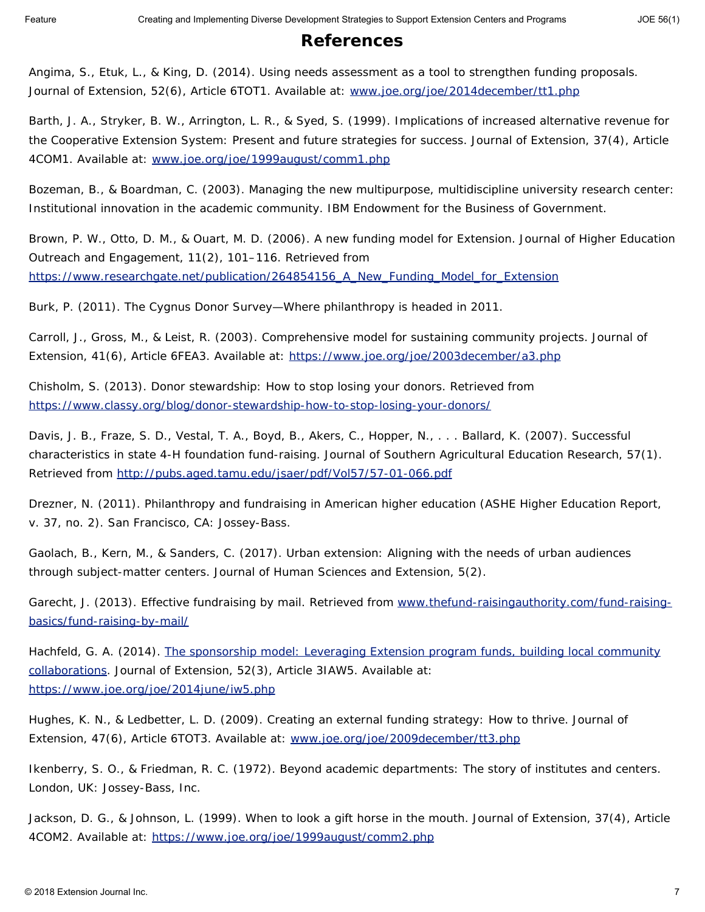#### **References**

Angima, S., Etuk, L., & King, D. (2014). Using needs assessment as a tool to strengthen funding proposals*. Journal of Extension*, *52*(6), Article 6TOT1. Available at: [www.joe.org/joe/2014december/tt1.php](http://www.joe.org/joe/2014december/tt1.php)

Barth, J. A., Stryker, B. W., Arrington, L. R., & Syed, S. (1999). Implications of increased alternative revenue for the Cooperative Extension System: Present and future strategies for success. *Journal of Extension*, *37*(4), Article 4COM1. Available at: [www.joe.org/joe/1999august/comm1.php](https://joe.org/c.page.AD/AppData/Local/Microsoft/Windows/Temporary%20Internet%20Files/Content.Outlook/LNJR7EML/www.joe.org/joe/1999august/comm1.php)

Bozeman, B., & Boardman, C. (2003). *Managing the new multipurpose, multidiscipline university research center: Institutional innovation in the academic community*. IBM Endowment for the Business of Government.

Brown, P. W., Otto, D. M., & Ouart, M. D. (2006). A new funding model for Extension. *Journal of Higher Education Outreach and Engagement*, *11*(2), 101–116. Retrieved from [https://www.researchgate.net/publication/264854156\\_A\\_New\\_Funding\\_Model\\_for\\_Extension](https://www.researchgate.net/publication/264854156_A_New_Funding_Model_for_Extension)

Burk, P. (2011). *The Cygnus Donor Survey—Where philanthropy is headed in 2011*.

Carroll, J., Gross, M., & Leist, R. (2003). Comprehensive model for sustaining community projects. *Journal of Extension*, *41*(6), Article 6FEA3. Available at:<https://www.joe.org/joe/2003december/a3.php>

Chisholm, S. (2013). Donor stewardship: How to stop losing your donors. Retrieved from <https://www.classy.org/blog/donor-stewardship-how-to-stop-losing-your-donors/>

Davis, J. B., Fraze, S. D., Vestal, T. A., Boyd, B., Akers, C., Hopper, N., . . . Ballard, K. (2007). Successful characteristics in state 4-H foundation fund-raising. *Journal of Southern Agricultural Education Research*, *57*(1). Retrieved from <http://pubs.aged.tamu.edu/jsaer/pdf/Vol57/57-01-066.pdf>

Drezner, N. (2011). *Philanthropy and fundraising in American higher education* (ASHE Higher Education Report, v. 37, no. 2). San Francisco, CA: Jossey-Bass.

Gaolach, B., Kern, M., & Sanders, C. (2017). Urban extension: Aligning with the needs of urban audiences through subject-matter centers. *Journal of Human Sciences and Extension*, *5*(2).

Garecht, J. (2013). Effective fundraising by mail. Retrieved from [www.thefund-raisingauthority.com/fund-raising](https://joe.org/c.page.AD/AppData/Local/Microsoft/Windows/Temporary%20Internet%20Files/Content.Outlook/LNJR7EML/www.thefundraisingauthority.com/fundraising-basics/fundraising-by-mail/)[basics/fund-raising-by-mail/](https://joe.org/c.page.AD/AppData/Local/Microsoft/Windows/Temporary%20Internet%20Files/Content.Outlook/LNJR7EML/www.thefundraisingauthority.com/fundraising-basics/fundraising-by-mail/)

Hachfeld, G. A. (2014). [The sponsorship model: Leveraging Extension program funds, building local community](http://www.joe.org/joe/2014june/iw5.php) [collaborations.](http://www.joe.org/joe/2014june/iw5.php) *Journal of Extension*, *52*(3), Article 3IAW5. Available at: <https://www.joe.org/joe/2014june/iw5.php>

Hughes, K. N., & Ledbetter, L. D. (2009). Creating an external funding strategy: How to thrive. *Journal of Extension*, *47*(6), Article 6TOT3. Available at: [www.joe.org/joe/2009december/tt3.php](http://www.joe.org/joe/2009december/tt3.php)

Ikenberry, S. O., & Friedman, R. C. (1972). *Beyond academic departments: The story of institutes and centers.* London, UK: Jossey-Bass, Inc.

Jackson, D. G., & Johnson, L. (1999). When to look a gift horse in the mouth. *Journal of Extension*, *37*(4), Article 4COM2. Available at:<https://www.joe.org/joe/1999august/comm2.php>